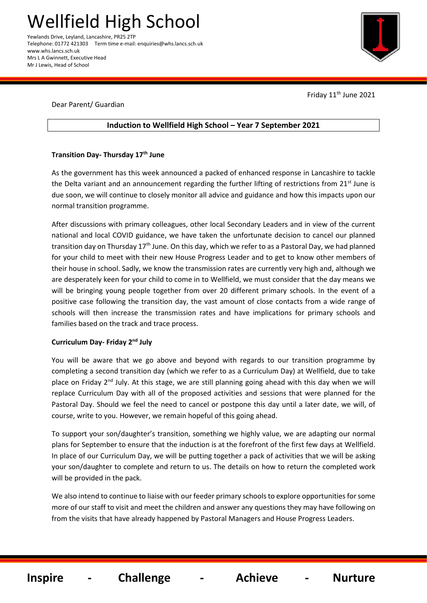Telephone: 01772 421303 Term time e-mail: enquiries@whs.lancs.sch.uk www.whs.lancs.sch.uk Mrs L A Gwinnett, Executive Head Mr J Lewis, Head of School



Friday  $11<sup>th</sup>$  June 2021

#### Dear Parent/ Guardian

# **Induction to Wellfield High School – Year 7 September 2021**

## **Transition Day- Thursday 17th June**

As the government has this week announced a packed of enhanced response in Lancashire to tackle the Delta variant and an announcement regarding the further lifting of restrictions from 21<sup>st</sup> June is due soon, we will continue to closely monitor all advice and guidance and how this impacts upon our normal transition programme.

After discussions with primary colleagues, other local Secondary Leaders and in view of the current national and local COVID guidance, we have taken the unfortunate decision to cancel our planned transition day on Thursday 17<sup>th</sup> June. On this day, which we refer to as a Pastoral Day, we had planned for your child to meet with their new House Progress Leader and to get to know other members of their house in school. Sadly, we know the transmission rates are currently very high and, although we are desperately keen for your child to come in to Wellfield, we must consider that the day means we will be bringing young people together from over 20 different primary schools. In the event of a positive case following the transition day, the vast amount of close contacts from a wide range of schools will then increase the transmission rates and have implications for primary schools and families based on the track and trace process.

#### **Curriculum Day- Friday 2nd July**

You will be aware that we go above and beyond with regards to our transition programme by completing a second transition day (which we refer to as a Curriculum Day) at Wellfield, due to take place on Friday 2<sup>nd</sup> July. At this stage, we are still planning going ahead with this day when we will replace Curriculum Day with all of the proposed activities and sessions that were planned for the Pastoral Day. Should we feel the need to cancel or postpone this day until a later date, we will, of course, write to you. However, we remain hopeful of this going ahead.

To support your son/daughter's transition, something we highly value, we are adapting our normal plans for September to ensure that the induction is at the forefront of the first few days at Wellfield. In place of our Curriculum Day, we will be putting together a pack of activities that we will be asking your son/daughter to complete and return to us. The details on how to return the completed work will be provided in the pack.

We also intend to continue to liaise with our feeder primary schools to explore opportunities for some more of our staff to visit and meet the children and answer any questions they may have following on from the visits that have already happened by Pastoral Managers and House Progress Leaders.